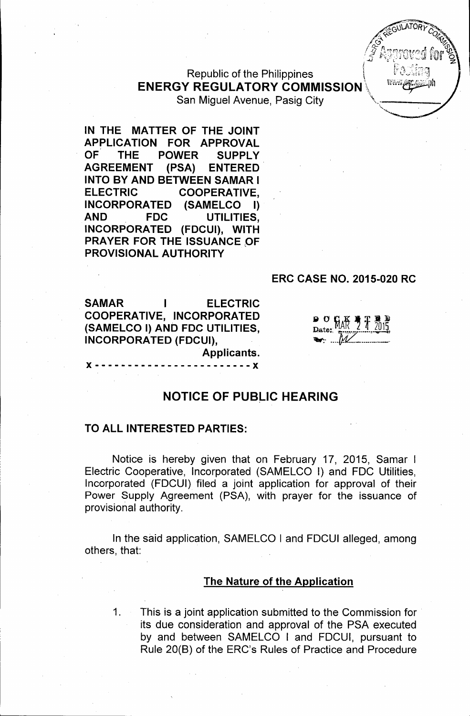I "",

## Republic of the Philippines \ ENERGY REGULATORY COMMISSION\" San Miguel Avenue, Pasig City

IN THE MATTER OF THE JOINT APPLICATION FOR APPROVAL OF THE POWER SUPPLY AGREEMENT (PSA) ENTERED INTO BY AND BETWEEN SAMAR I ELECTRIC COOPERATIVE, INCORPORATED (SAMELCO I) AND FDC UTILITIES, INCORPORATED (FDCUI), WITH PRAYER FOR THE ISSUANCE OF PROVISIONAL AUTHORITY

#### ERC CASE NO. 2015-020 RC

SAMAR I ELECTRIC COOPERATIVE, INCORPORATED (SAMELCO I) AND FDC UTILITIES, INCORPORATED (FDCUI), Applicants.

| w |  | h  |
|---|--|----|
|   |  | ľ٦ |
|   |  |    |

### NOTICE OF PUBLIC HEARING

x -- ---------------- ------x

#### TO ALL INTERESTED PARTIES:

Notice is hereby given that on February 17, 2015, Samar <sup>1</sup> Electric Cooperative, Incorporated (SAMELCO I) and FOC Utilities, Incorporated (FDCUI) filed a joint application for approval of their Power Supply Agreement (PSA), with prayer for the issuance of provisional authority.

In the said application, SAMELCO I and FDCUI alleged, among others, that:

#### The Nature of the Application

1. This is a joint application submitted to the Commission for its due consideration and approval of the PSA executed by and between SAMELCO <sup>1</sup> and FOCUI, pursuant to Rule 20(B) of the ERC's Rules of Practice and Procedure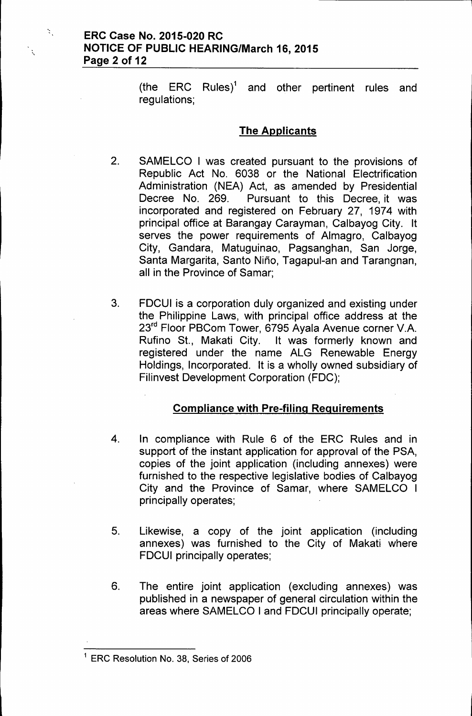$\mathbf{X}_1$ 

(the ERC Rules)<sup>1</sup> and other pertinent rules and regulations;

# The Applicants

- 2. SAMELCO I was created pursuant to the provisions of Republic Act No. 6038 or the National Electrification Administration (NEA) Act, as amended by Presidential Decree No. 269. Pursuant to this Decree, it was incorporated and registered on February 27, 1974 with principal office at Barangay Carayman, Calbayog City. It serves the power requirements of Almagro, Calbayog City, Gandara, Matuguinao, Pagsanghan, San Jorge, Santa Margarita, Santo Nino, Tagapul-an and Tarangnan, all in the Province of Samar;
- 3. FDCUI is a corporation duly organized and existing under the Philippine Laws, with principal office address at the 23rd Floor PBCom Tower, 6795 Ayala Avenue corner V.A. Rufino St., Makati City. It was formerly known and registered under the name ALG Renewable Energy Holdings, Incorporated. It is a wholly owned subsidiary of Filinvest Development Corporation (FDC);

# Compliance with Pre-filing Reguirements

- 4. In compliance with Rule 6 of the ERC Rules and in support of the instant application for approval of the PSA, copies of the joint application (including annexes) were furnished to the respective legislative bodies of Calbayog City and the Province of Samar, where SAMELCO I principally operates;
- 5. Likewise, a copy of the joint application (including annexes) was furnished to the City of Makati where FDCUI principally operates;
- 6. The entire joint application (excluding annexes) was published in a newspaper of general circulation within the areas where SAMELCO I and FDCUI principally operate;

<sup>1</sup> ERG Resolution No. 38, Series of 2006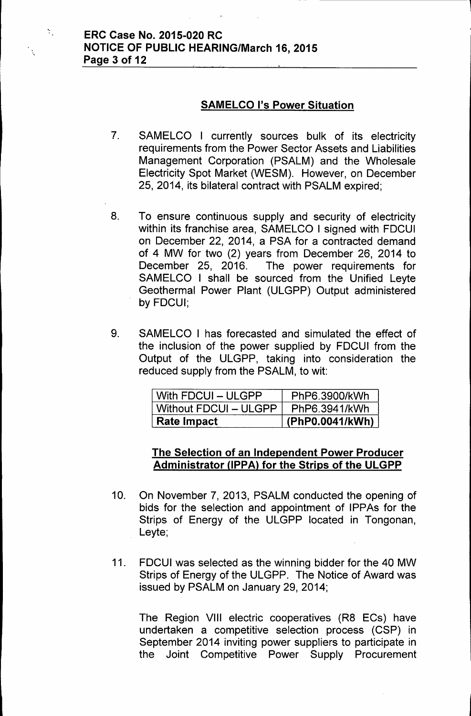$\mathcal{Z}_{\infty}$ 

## SAMELCO I's Power Situation

- 7. SAMELCO I currently sources bulk of its electricity requirements from the Power Sector Assets and Liabilities Management Corporation (PSALM) and the Wholesale Electricity Spot Market (WESM). However, on December 25, 2014, its bilateral contract with PSALM expired;
- 8. To ensure continuous supply and security of electricity within its franchise area, SAMELCO I signed with FDCUI on December 22, 2014, a PSA for a contracted demand of 4 MW for two (2) years from December 26, 2014 to December 25, 2016. The power requirements for SAMELCO I shall be sourced from the Unified Leyte Geothermal Power Plant (ULGPP) Output administered by FDCUI;
- 9. SAMELCO I has forecasted and simulated the effect of the inclusion of the power supplied by FDCUI from the Output of the ULGPP, taking into consideration the reduced supply from the PSALM, to wit:

| With FDCUI - ULGPP    | PhP6.3900/kWh   |
|-----------------------|-----------------|
| Without FDCUI - ULGPP | PhP6.3941/kWh   |
| ⊦Rate Impact          | (PhP0.0041/kWh) |

# The Selection of an Independent Power Producer Administrator (IPPA) for the Strips of the ULGPP

- 10. On November 7, 2013, PSALM conducted the opening of bids for the selection and appointment of IPPAs for the Strips of Energy of the ULGPP located in Tongonan, Leyte;
- 11. FDCUI was selected as the winning bidder for the 40 MW Strips of Energy of the ULGPP. The Notice of Award was issued by PSALM on January 29,2014;

The Region VIII electric cooperatives (R8 ECs) have undertaken a competitive selection process (CSP) in September 2014 inviting power suppliers to participate in the Joint Competitive Power Supply Procurement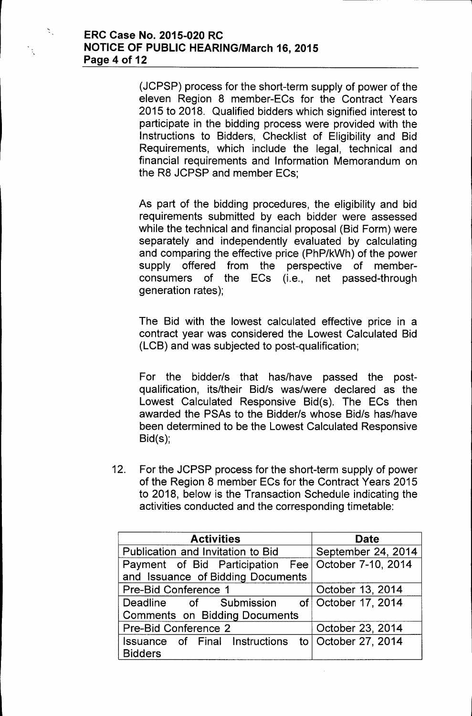Ň.

 $\ddot{\cdot}$ 

(JCPSP) process for the short-term supply of power of the eleven Region 8 member-ECs for the Contract Years 2015 to 2018. Qualified bidders which signified interest to participate in the bidding process were provided with the Instructions to Bidders, Checklist of Eligibility and Bid Requirements, which include the legal, technical and financial requirements and Information Memorandum on the R8 JCPSP and member ECs;

As part of the bidding procedures, the eligibility and bid requirements submitted by each bidder were assessed while the technical and financial proposal (Bid Form) were separately and independently evaluated by calculating and comparing the effective price (PhP/kWh) of the power supply offered from the perspective of memberconsumers of the ECs (i.e., net passed-through generation rates);

The Bid with the lowest calculated effective price in a contract year was considered the Lowest Calculated Bid (LCB) and was subjected to post-qualification;

For the bidder/s that has/have passed the postqualification, its/their Bid/s was/were declared as the Lowest Calculated Responsive Bid(s). The ECs then awarded the PSAs to the Bidder/s whose Bid/s has/have been determined to be the Lowest Calculated Responsive Bid(s);

12. For the JCPSP process for the short-term supply of power of the Region 8 member ECs for the Contract Years 2015 to 2018, below is the Transaction Schedule indicating the activities conducted and the corresponding timetable:

| <b>Activities</b>                          | <b>Date</b>           |  |  |
|--------------------------------------------|-----------------------|--|--|
| Publication and Invitation to Bid          | September 24, 2014    |  |  |
| Payment of Bid Participation Fee           | October 7-10, 2014    |  |  |
| and Issuance of Bidding Documents          |                       |  |  |
| <b>Pre-Bid Conference 1</b>                | October 13, 2014      |  |  |
| Deadline of Submission of October 17, 2014 |                       |  |  |
| <b>Comments on Bidding Documents</b>       |                       |  |  |
| Pre-Bid Conference 2                       | October 23, 2014      |  |  |
| Issuance of Final Instructions             | to   October 27, 2014 |  |  |
| <b>Bidders</b>                             |                       |  |  |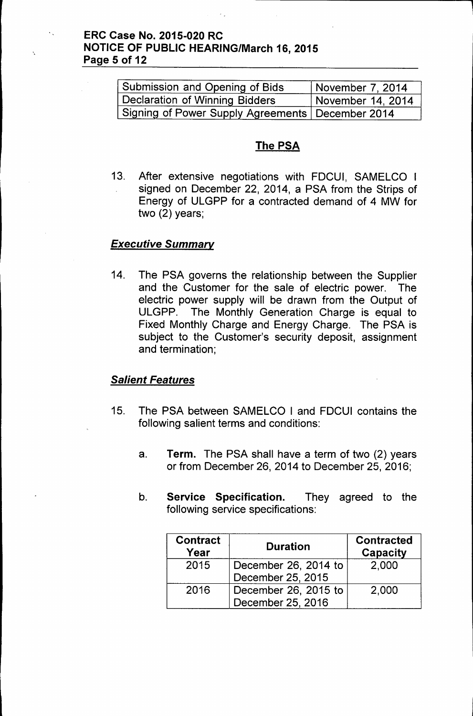## ERC Case No. 2015-020 RC NOTICE OF PUBLIC HEARING/March 16, 2015 Page 5 of 12

| Submission and Opening of Bids                     | November 7, 2014  |
|----------------------------------------------------|-------------------|
| Declaration of Winning Bidders                     | November 14, 2014 |
| Signing of Power Supply Agreements   December 2014 |                   |

# The PSA

13. After extensive negotiations with FDCUI, SAMELCO I signed on December 22, 2014, a PSA from the Strips of Energy of ULGPP for a contracted demand of 4 MW for two (2) years;

#### *Executive Summary*

14. The PSA governs the relationship between the Supplier and the Customer for the sale of electric power. The electric power supply will be drawn from the Output of ULGPP. The Monthly Generation Charge is equal to Fixed Monthly Charge and Energy Charge. The PSA is subject to the Customer's security deposit, assignment and termination;

### *Salient Features*

- 15. The PSA between SAMELCO I and FDCUI contains the following salient terms and conditions:
	- a. Term. The PSA shall have a term of two (2) years or from December 26, 2014 to December 25, 2016;
	- b. Service Specification. They agreed to the following service specifications:

| <b>Contract</b><br>Year | <b>Duration</b>      | <b>Contracted</b><br>Capacity |  |
|-------------------------|----------------------|-------------------------------|--|
| 2015                    | December 26, 2014 to | 2,000                         |  |
|                         | December 25, 2015    |                               |  |
| 2016                    | December 26, 2015 to | 2,000                         |  |
|                         | December 25, 2016    |                               |  |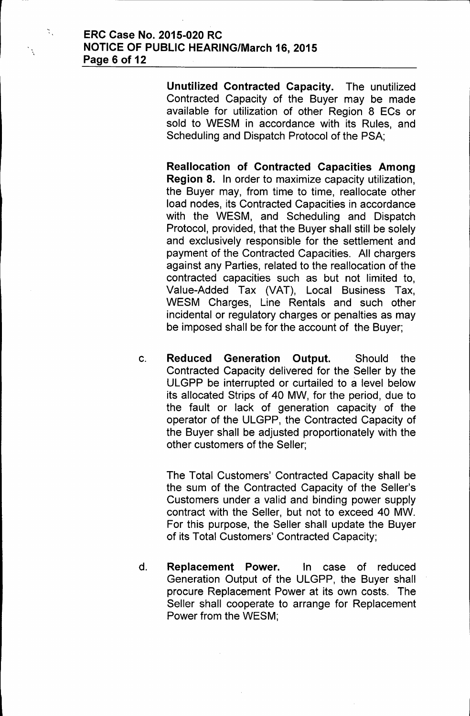$\mathcal{L}_{\mathcal{L}}$ 

 $\ddot{\cdot}$ 

Unutilized Contracted Capacity. The unutilized Contracted Capacity of the Buyer may be made available for utilization of other Region 8 ECs or sold to WESM in accordance with its Rules, and Scheduling and Dispatch Protocol of the PSA;

Reallocation of Contracted Capacities Among Region 8. In order to maximize capacity utilization, the Buyer may, from time to time, reallocate other load nodes, its Contracted Capacities in accordance with the WESM, and Scheduling and Dispatch Protocol, provided, that the Buyer shall still be solely and exclusively responsible for the settlement and payment of the Contracted Capacities. All chargers against any Parties, related to the reallocation of the contracted capacities such as but not limited to, Value-Added Tax (VAT), Local Business Tax, WESM Charges, Line Rentals and such other incidental or regulatory charges or penalties as may be imposed shall be for the account of the Buyer;

c. Reduced Generation Output. Should the Contracted Capacity delivered for the Seller by the ULGPP be interrupted or curtailed to a level below its allocated Strips of 40 MW, for the period, due to the fault or lack of generation capacity of the operator of the ULGPP, the Contracted Capacity of the Buyer shall be adjusted proportionately with the other customers of the Seller;

The Total Customers' Contracted Capacity shall be the sum of the Contracted Capacity of the Seller's Customers under a valid and binding power supply contract with the Seller, but not to exceed 40 MW. For this purpose, the Seller shall update the Buyer of its Total Customers' Contracted Capacity;

d. Replacement Power. In case of reduced Generation Output of the ULGPP, the Buyer shall procure Replacement Power at its own costs. The Seller shall cooperate to arrange for Replacement Power from the WESM;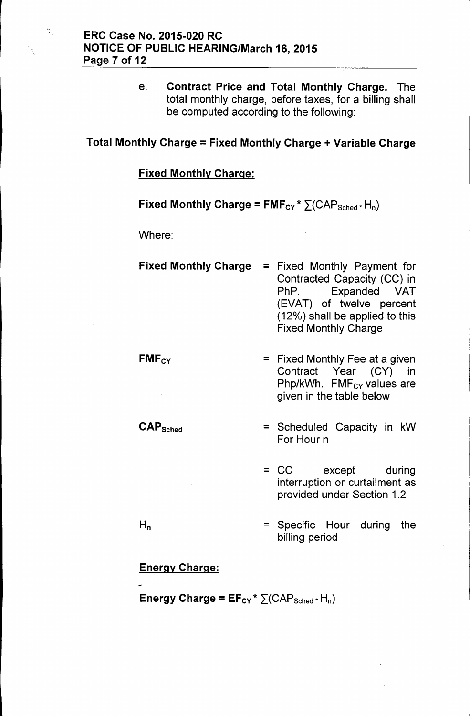e. Contract Price and Total Monthly Charge. The total monthly charge, before taxes, for a billing shall be computed according to the following:

# Total Monthly Charge = Fixed Monthly Charge + Variable Charge

## Fixed Monthly Charge:

Fixed Monthly Charge =  $FMF_{CY} * \sum (CAP_{Sched} * H_n)$ 

Where:

 $\mathcal{L}_{\mathcal{L}}$ 

 $\ddot{\cdot}$ 

- Fixed Monthly Charge = Fixed Monthly Payment for Contracted Capacity (CC) in PhP. Expanded VAT (EVAT) of twelve percent (12%) shall be applied to this Fixed Monthly Charge
- $FMF_{CY}$  = Fixed Monthly Fee at a given Contract Year (CY) in Php/kWh.  $FMF_{CY}$  values are given in the table below
- $\mathsf{CAP}_{\mathsf{Sched}}$  = Scheduled Capacity in kW For Hour n
	- = CC except during interruption or curtailment as provided under Section 1.2

= Specific Hour during the billing period

# Energy Charge:

 $H_n$ 

Energy Charge =  $EF_{CY}$ \*  $\Sigma(CAP_{Sched}$ \* H<sub>n</sub>)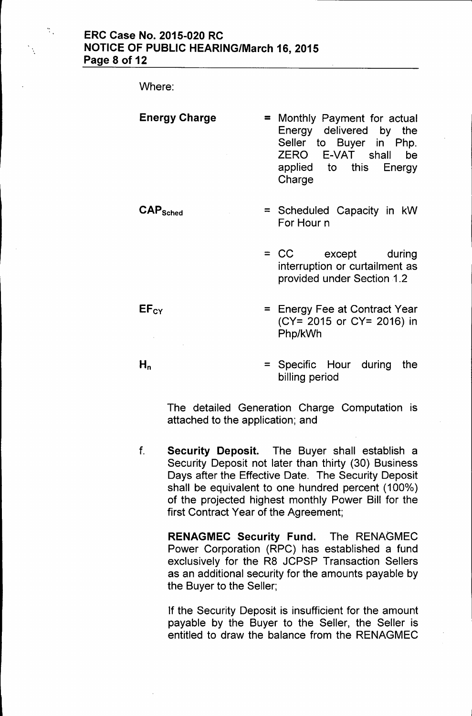Where:

 $\frac{a}{\sqrt{2}}$ 

 $EF<sub>CY</sub>$ 

 $H_n$ 

| <b>Energy Charge</b> | Charge | = Monthly Payment for actual<br>Energy delivered by the<br>Seller to Buyer in Php.<br>ZERO E-VAT shall<br>applied to this Energy | be |
|----------------------|--------|----------------------------------------------------------------------------------------------------------------------------------|----|
|                      |        |                                                                                                                                  |    |

- CAPSched = Scheduled Capacity in kW For Hour n
	- = CC except during interruption or curtailment as provided under Section 1.2
	- = Energy Fee at Contract Year (CY= 2015 or CY= 2016) in Php/kWh
	- = Specific Hour during the billing period

The detailed Generation Charge Computation is attached to the application; and

f. Security Deposit. The Buyer shall establish a Security Deposit not later than thirty (30) Business Days after the Effective Date. The Security Deposit shall be equivalent to one hundred percent (100%) of the projected highest monthly Power Bill for the first Contract Year of the Agreement;

> RENAGMEC Security Fund. The RENAGMEC Power Corporation (RPC) has established a fund exclusively for the R8 JCPSP Transaction Sellers as an additional security for the amounts payable by the Buyer to the Seller;

> If the Security Deposit is insufficient for the amount payable by the Buyer to the Seller, the Seller is entitled to draw the balance from the RENAGMEC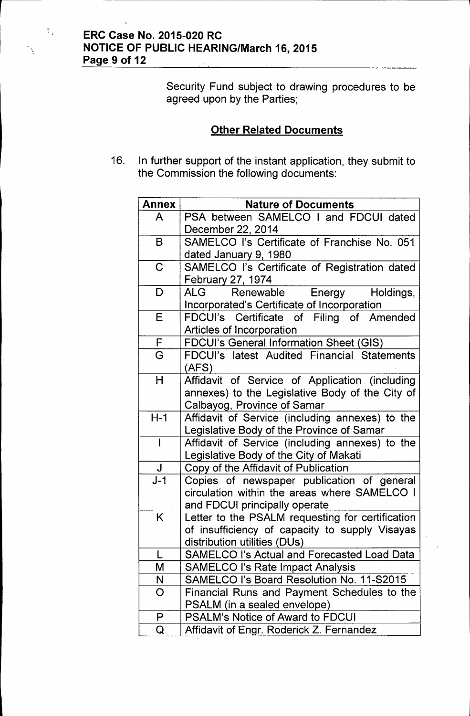$\mathcal{R}_{\mathcal{A}}$ 

 $\mathcal{A}$ 

Security Fund subject to drawing procedures to be agreed upon by the Parties;

# **Other Related Documents**

16. In further support of the instant application, they submit to the Commission the following documents:

| <b>Annex</b> | <b>Nature of Documents</b>                                                         |
|--------------|------------------------------------------------------------------------------------|
| A            | PSA between SAMELCO I and FDCUI dated<br>December 22, 2014                         |
| B            | SAMELCO I's Certificate of Franchise No. 051                                       |
|              | dated January 9, 1980                                                              |
| $\mathbf C$  | SAMELCO I's Certificate of Registration dated                                      |
|              | February 27, 1974                                                                  |
| D            | ALG .<br>Renewable<br>Energy<br>Holdings,                                          |
|              | Incorporated's Certificate of Incorporation                                        |
| E            | FDCUI's Certificate of Filing of Amended                                           |
|              | Articles of Incorporation                                                          |
| F            | <b>FDCUI's General Information Sheet (GIS)</b>                                     |
| G            | FDCUI's latest Audited Financial Statements                                        |
|              | (AFS)                                                                              |
| H            | Affidavit of Service of Application (including                                     |
|              | annexes) to the Legislative Body of the City of                                    |
|              | Calbayog, Province of Samar                                                        |
| $H-1$        | Affidavit of Service (including annexes) to the                                    |
|              | Legislative Body of the Province of Samar                                          |
| $\mathsf{I}$ | Affidavit of Service (including annexes) to the                                    |
| $\mathsf J$  | Legislative Body of the City of Makati                                             |
| $J-1$        | Copy of the Affidavit of Publication<br>Copies of newspaper publication of general |
|              | circulation within the areas where SAMELCO I                                       |
|              | and FDCUI principally operate                                                      |
| K            | Letter to the PSALM requesting for certification                                   |
|              | of insufficiency of capacity to supply Visayas                                     |
|              | distribution utilities (DUs)                                                       |
|              | <b>SAMELCO I's Actual and Forecasted Load Data</b>                                 |
| M            | <b>SAMELCO I's Rate Impact Analysis</b>                                            |
| N            | SAMELCO I's Board Resolution No. 11-S2015                                          |
| O            | Financial Runs and Payment Schedules to the                                        |
|              | PSALM (in a sealed envelope)                                                       |
| P            | <b>PSALM's Notice of Award to FDCUI</b>                                            |
| Q            | Affidavit of Engr. Roderick Z. Fernandez                                           |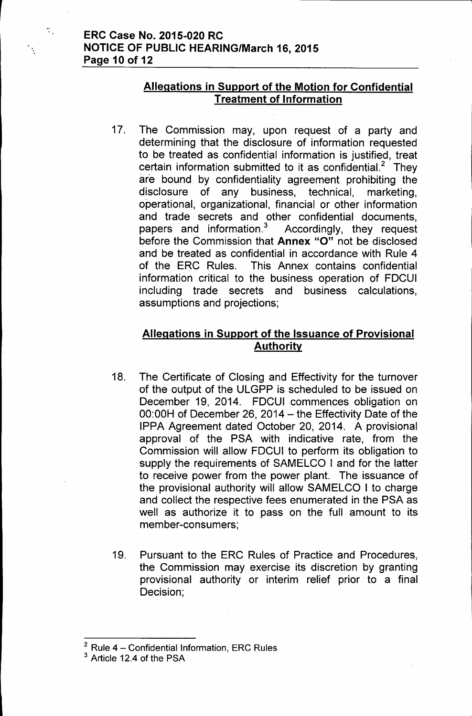$\mathcal{L}_{\mathcal{L}}$ 

# Allegations in Support of the Motion for Confidential Treatment of Information

17. The Commission may, upon request of a party and determining that the disclosure of information requested to be treated as confidential information is justified, treat certain information submitted to it as confidential.<sup>2</sup> They are bound by confidentiality agreement prohibiting the disclosure of any business, technical, marketing, operational, organizational, financial or other information and trade secrets and other confidential documents, papers and information.<sup>3</sup> Accordingly, they request before the Commission that Annex "0" not be disclosed and be treated as confidential in accordance with Rule 4 of the ERC Rules. This Annex contains confidential information critical to the business operation of FDCUI including trade secrets and business calculations, assumptions and projections;

# Allegations in Support of the Issuance of Provisional **Authority**

- 18. The Certificate of Closing and Effectivity for the turnover of the output of the ULGPP is scheduled to be issued on December 19, 2014. FDCUI commences obligation on  $00:00H$  of December 26, 2014 - the Effectivity Date of the IPPA Agreement dated October 20, 2014. A provisional approval of the PSA with indicative rate, from the Commission will allow FDCUI to perform its obligation to supply the requirements of SAMELCO I and for the latter to receive power from the power plant. The issuance of the provisional authority will allow SAMELCO I to charge and collect the respective fees enumerated in the PSA as well as authorize it to pass on the full amount to its member-consumers;
- 19. Pursuant to the ERC Rules of Practice and Procedures, the Commission may exercise its discretion by granting provisional authority or interim relief prior to a final Decision;

 $2$  Rule 4 - Confidential Information, ERC Rules

<sup>&</sup>lt;sup>3</sup> Article 12.4 of the PSA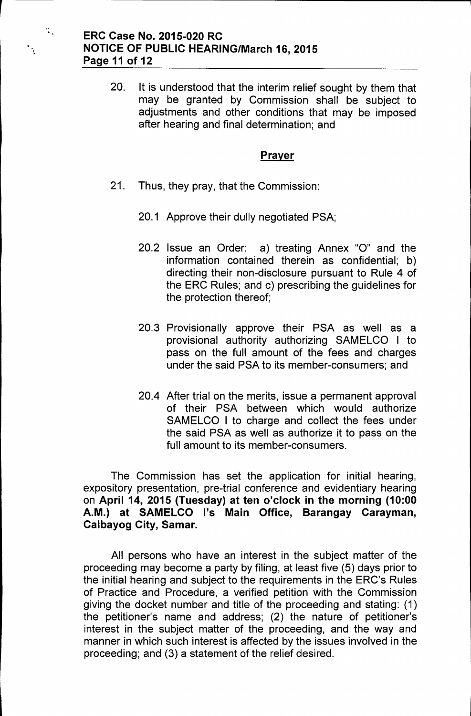« .

 $\mathcal{L}_{\mathcal{A}}$ 

20. It is understood that the interim relief sought by them that may be granted by Commission shall be subject to adjustments and other conditions that may be imposed after hearing and final determination; and

#### **Prayer**

- 21. Thus, they pray, that the Commission:
	- 20.1 Approve their dully negotiated PSA;
	- 20.2 Issue an Order: a) treating Annex "0" and the information contained therein as confidential; b) directing their non-disclosure pursuant to Rule 4 of the ERC Rules; and c) prescribing the guidelines for the protection thereof;
	- 20.3 Provisionally approve their PSA as well as a provisional authority authorizing SAMELCO I to pass on the full amount of the fees and charges under the said PSA to its member-consumers; and
	- 20.4 After trial on the merits, issue a permanent approval of their PSA between which would authorize SAMELCO I to charge and collect the fees under the said PSA as well as authorize it to pass on the full amount to its member-consumers.

The Commission has set the application for initial hearing, expository presentation, pre-trial conference and evidentiary hearing on **April 14, 2015 (Tuesday) at ten o'clock in the morning (10:00 A.M.) at SAMELCO I's Main Office, Barangay Carayman, Calbayog City, Samar.**

All persons who have an interest in the subject matter of the proceeding may become a party by filing, at least five (5) days prior to the initial hearing and subject to the requirements in the ERC's Rules of Practice and Procedure, a verified petition with the Commission giving the docket number and title of the proceeding and stating: (1) the petitioner's name and address; (2) the nature of petitioner's interest in the subject matter of the proceeding, and the way and manner in which such interest is affected by the issues involved in the proceeding; and (3) a statement of the relief desired.